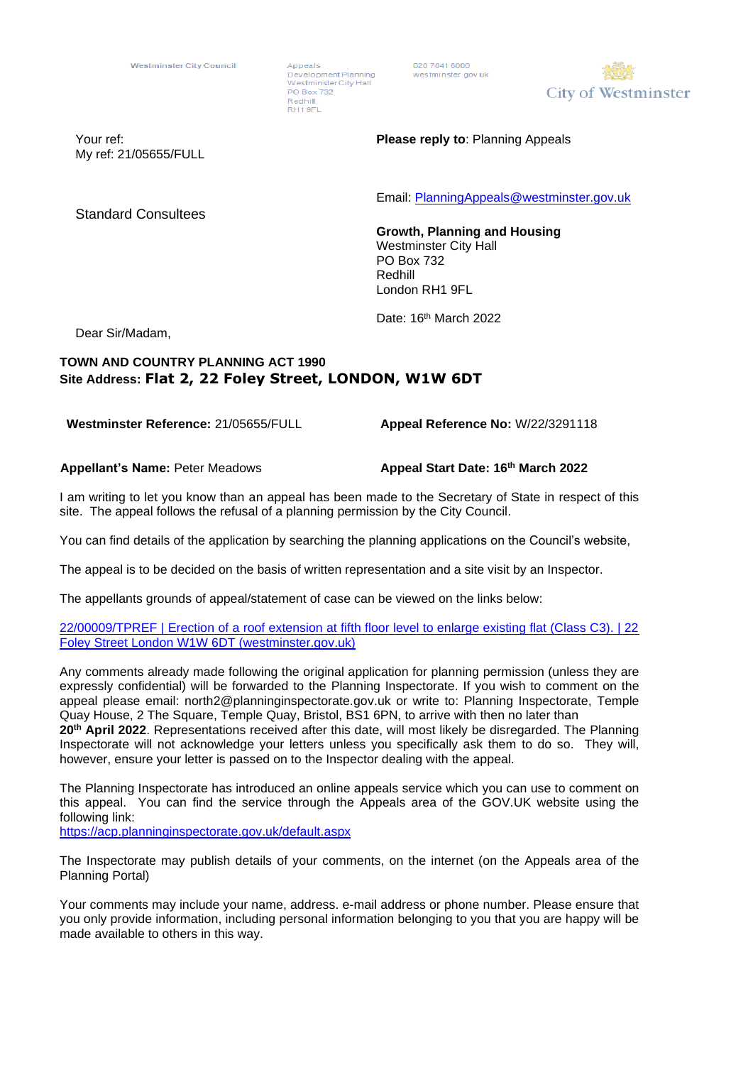Appeals Development Planning WestminsterCity Hall PO Box 732 Redhill RH19FL

020 7641 6000 westminster.gov.uk



My ref: 21/05655/FULL

Your ref: **Please reply to**: Planning Appeals

Email: [PlanningAppeals@westminster.gov.uk](mailto:PlanningAppeals@westminster.gov.uk)

Standard Consultees

**Growth, Planning and Housing**  Westminster City Hall PO Box 732 Redhill London RH1 9FL

Date: 16<sup>th</sup> March 2022

Dear Sir/Madam,

## **TOWN AND COUNTRY PLANNING ACT 1990 Site Address: Flat 2, 22 Foley Street, LONDON, W1W 6DT**

**Westminster Reference:** 21/05655/FULL

**Appeal Reference No:** W/22/3291118

**Appellant's Name:** Peter Meadows

**Appeal Start Date: 16th March 2022**

I am writing to let you know than an appeal has been made to the Secretary of State in respect of this site. The appeal follows the refusal of a planning permission by the City Council.

You can find details of the application by searching the planning applications on the Council's website,

The appeal is to be decided on the basis of written representation and a site visit by an Inspector.

The appellants grounds of appeal/statement of case can be viewed on the links below:

## [22/00009/TPREF | Erection of a roof extension at fifth floor level to enlarge existing flat \(Class C3\). | 22](https://idoxpa.westminster.gov.uk/online-applications/appealDetails.do?activeTab=documents&keyVal=R61ZSBRP2UE00)  Foley Street London [W1W 6DT \(westminster.gov.uk\)](https://idoxpa.westminster.gov.uk/online-applications/appealDetails.do?activeTab=documents&keyVal=R61ZSBRP2UE00)

Any comments already made following the original application for planning permission (unless they are expressly confidential) will be forwarded to the Planning Inspectorate. If you wish to comment on the appeal please email: north2@planninginspectorate.gov.uk or write to: Planning Inspectorate, Temple Quay House, 2 The Square, Temple Quay, Bristol, BS1 6PN, to arrive with then no later than **20 th April 2022**. Representations received after this date, will most likely be disregarded. The Planning Inspectorate will not acknowledge your letters unless you specifically ask them to do so. They will, however, ensure your letter is passed on to the Inspector dealing with the appeal.

The Planning Inspectorate has introduced an online appeals service which you can use to comment on this appeal. You can find the service through the Appeals area of the GOV.UK website using the following link:

<https://acp.planninginspectorate.gov.uk/default.aspx>

The Inspectorate may publish details of your comments, on the internet (on the Appeals area of the Planning Portal)

Your comments may include your name, address. e-mail address or phone number. Please ensure that you only provide information, including personal information belonging to you that you are happy will be made available to others in this way.